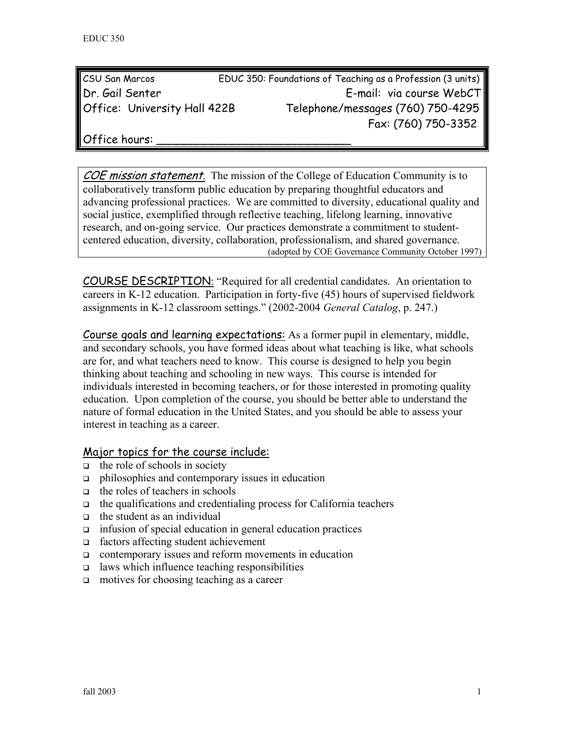| <b>CSU San Marcos</b>               | EDUC 350: Foundations of Teaching as a Profession (3 units) |                                   |
|-------------------------------------|-------------------------------------------------------------|-----------------------------------|
| Dr. Gail Senter                     |                                                             | E-mail: via course WebCT          |
| <b>Office: University Hall 422B</b> |                                                             | Telephone/messages (760) 750-4295 |
|                                     |                                                             | Fax: (760) 750-3352               |

Office hours:

COE mission statement. The mission of the College of Education Community is to collaboratively transform public education by preparing thoughtful educators and advancing professional practices. We are committed to diversity, educational quality and social justice, exemplified through reflective teaching, lifelong learning, innovative research, and on-going service. Our practices demonstrate a commitment to studentcentered education, diversity, collaboration, professionalism, and shared governance. (adopted by COE Governance Community October 1997)

COURSE DESCRIPTION: "Required for all credential candidates. An orientation to careers in K-12 education. Participation in forty-five (45) hours of supervised fieldwork assignments in K-12 classroom settings." (2002-2004 *General Catalog*, p. 247.)

Course goals and learning expectations: As a former pupil in elementary, middle, and secondary schools, you have formed ideas about what teaching is like, what schools are for, and what teachers need to know. This course is designed to help you begin thinking about teaching and schooling in new ways. This course is intended for individuals interested in becoming teachers, or for those interested in promoting quality education. Upon completion of the course, you should be better able to understand the nature of formal education in the United States, and you should be able to assess your interest in teaching as a career.

#### Major topics for the course include:

- $\Box$  the role of schools in society
- philosophies and contemporary issues in education
- $\Box$  the roles of teachers in schools
- $\Box$  the qualifications and credentialing process for California teachers
- $\Box$  the student as an individual
- infusion of special education in general education practices
- factors affecting student achievement
- contemporary issues and reform movements in education
- $\Box$  laws which influence teaching responsibilities
- $\Box$  motives for choosing teaching as a career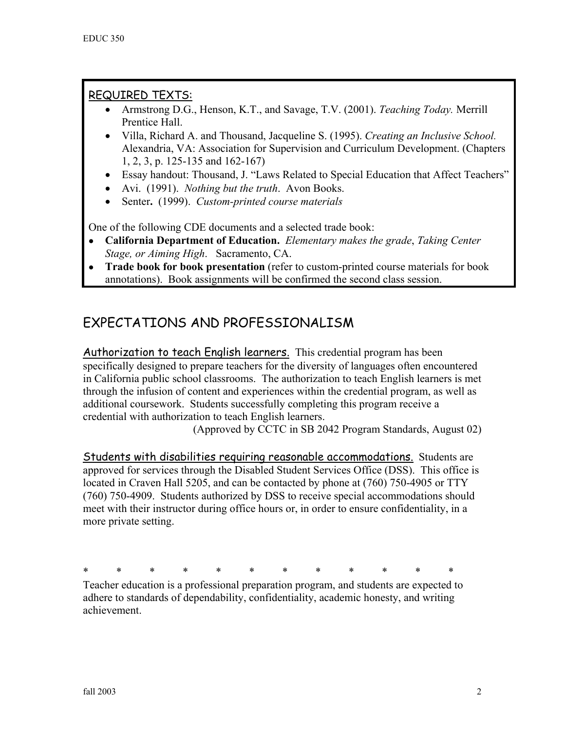# REQUIRED TEXTS:

- Armstrong D.G., Henson, K.T., and Savage, T.V. (2001). *Teaching Today.* Merrill Prentice Hall.
- Villa, Richard A. and Thousand, Jacqueline S. (1995). *Creating an Inclusive School.* Alexandria, VA: Association for Supervision and Curriculum Development. (Chapters 1, 2, 3, p. 125-135 and 162-167)
- Essay handout: Thousand, J. "Laws Related to Special Education that Affect Teachers"
- Avi. (1991). *Nothing but the truth*. Avon Books.
- Senter**.** (1999). *Custom-printed course materials*

One of the following CDE documents and a selected trade book:

- **California Department of Education.** *Elementary makes the grade*, *Taking Center Stage, or Aiming High*. Sacramento, CA.
- **Trade book for book presentation** (refer to custom-printed course materials for book annotations). Book assignments will be confirmed the second class session.

# EXPECTATIONS AND PROFESSIONALISM

Authorization to teach English learners. This credential program has been specifically designed to prepare teachers for the diversity of languages often encountered in California public school classrooms. The authorization to teach English learners is met through the infusion of content and experiences within the credential program, as well as additional coursework. Students successfully completing this program receive a credential with authorization to teach English learners.

(Approved by CCTC in SB 2042 Program Standards, August 02)

Students with disabilities requiring reasonable accommodations. Students are approved for services through the Disabled Student Services Office (DSS). This office is located in Craven Hall 5205, and can be contacted by phone at (760) 750-4905 or TTY (760) 750-4909. Students authorized by DSS to receive special accommodations should meet with their instructor during office hours or, in order to ensure confidentiality, in a more private setting.

\* \* \* \* \* \* \* \* \* \* \* \*

Teacher education is a professional preparation program, and students are expected to adhere to standards of dependability, confidentiality, academic honesty, and writing achievement.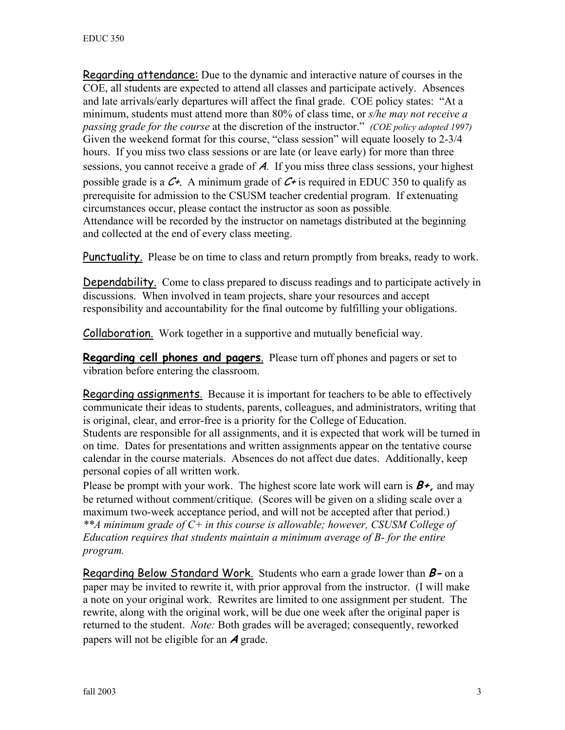Regarding attendance: Due to the dynamic and interactive nature of courses in the COE, all students are expected to attend all classes and participate actively. Absences and late arrivals/early departures will affect the final grade. COE policy states: "At a minimum, students must attend more than 80% of class time, or *s/he may not receive a passing grade for the course* at the discretion of the instructor." *(COE policy adopted 1997)*  Given the weekend format for this course, "class session" will equate loosely to 2-3/4 hours. If you miss two class sessions or are late (or leave early) for more than three sessions, you cannot receive a grade of  $A$ . If you miss three class sessions, your highest possible grade is a  $C_{\tau}$ . A minimum grade of  $C_{\tau}$  is required in EDUC 350 to qualify as prerequisite for admission to the CSUSM teacher credential program. If extenuating circumstances occur, please contact the instructor as soon as possible. Attendance will be recorded by the instructor on nametags distributed at the beginning and collected at the end of every class meeting.

Punctuality. Please be on time to class and return promptly from breaks, ready to work.

Dependability. Come to class prepared to discuss readings and to participate actively in discussions. When involved in team projects, share your resources and accept responsibility and accountability for the final outcome by fulfilling your obligations.

Collaboration. Work together in a supportive and mutually beneficial way.

**Regarding cell phones and pagers**. Please turn off phones and pagers or set to vibration before entering the classroom.

Regarding assignments. Because it is important for teachers to be able to effectively communicate their ideas to students, parents, colleagues, and administrators, writing that is original, clear, and error-free is a priority for the College of Education. Students are responsible for all assignments, and it is expected that work will be turned in

on time. Dates for presentations and written assignments appear on the tentative course calendar in the course materials. Absences do not affect due dates. Additionally, keep personal copies of all written work.

Please be prompt with your work. The highest score late work will earn is  $B_{+}$ , and may be returned without comment/critique. (Scores will be given on a sliding scale over a maximum two-week acceptance period, and will not be accepted after that period.) *\*\*A minimum grade of C+ in this course is allowable; however, CSUSM College of Education requires that students maintain a minimum average of B- for the entire program.* 

Regarding Below Standard Work. Students who earn a grade lower than **B-** on a paper may be invited to rewrite it, with prior approval from the instructor. (I will make a note on your original work. Rewrites are limited to one assignment per student. The rewrite, along with the original work, will be due one week after the original paper is returned to the student. *Note:* Both grades will be averaged; consequently, reworked papers will not be eligible for an **A** grade.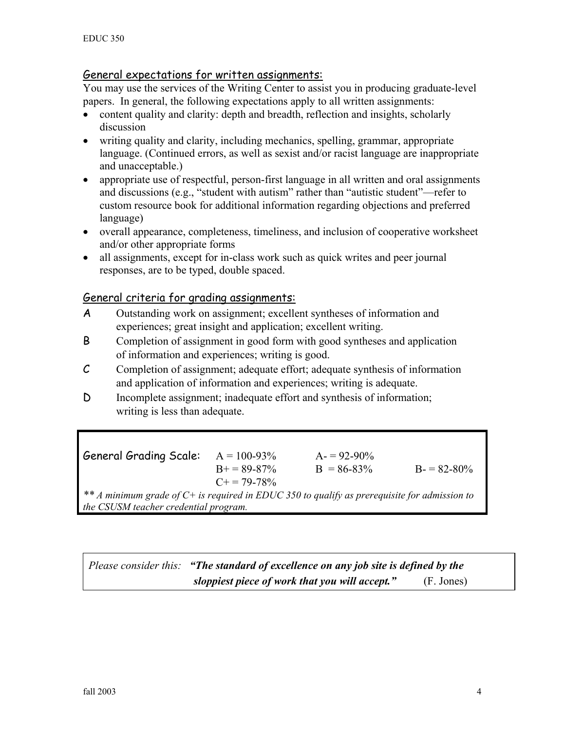## General expectations for written assignments:

You may use the services of the Writing Center to assist you in producing graduate-level papers. In general, the following expectations apply to all written assignments:

- content quality and clarity: depth and breadth, reflection and insights, scholarly discussion
- writing quality and clarity, including mechanics, spelling, grammar, appropriate language. (Continued errors, as well as sexist and/or racist language are inappropriate and unacceptable.)
- appropriate use of respectful, person-first language in all written and oral assignments and discussions (e.g., "student with autism" rather than "autistic student"—refer to custom resource book for additional information regarding objections and preferred language)
- overall appearance, completeness, timeliness, and inclusion of cooperative worksheet and/or other appropriate forms
- all assignments, except for in-class work such as quick writes and peer journal responses, are to be typed, double spaced.

#### General criteria for grading assignments:

- A Outstanding work on assignment; excellent syntheses of information and experiences; great insight and application; excellent writing.
- B Completion of assignment in good form with good syntheses and application of information and experiences; writing is good.
- C Completion of assignment; adequate effort; adequate synthesis of information and application of information and experiences; writing is adequate.
- D Incomplete assignment; inadequate effort and synthesis of information; writing is less than adequate.

General Grading Scale:  $A = 100-93%$   $A = 92-90%$  $B = 89-87\%$  B = 86-83% B = 82-80%  $C+= 79-78%$ *\*\* A minimum grade of C+ is required in EDUC 350 to qualify as prerequisite for admission to the CSUSM teacher credential program.* 

*Please consider this: "The standard of excellence on any job site is defined by the sloppiest piece of work that you will accept."* (F. Jones)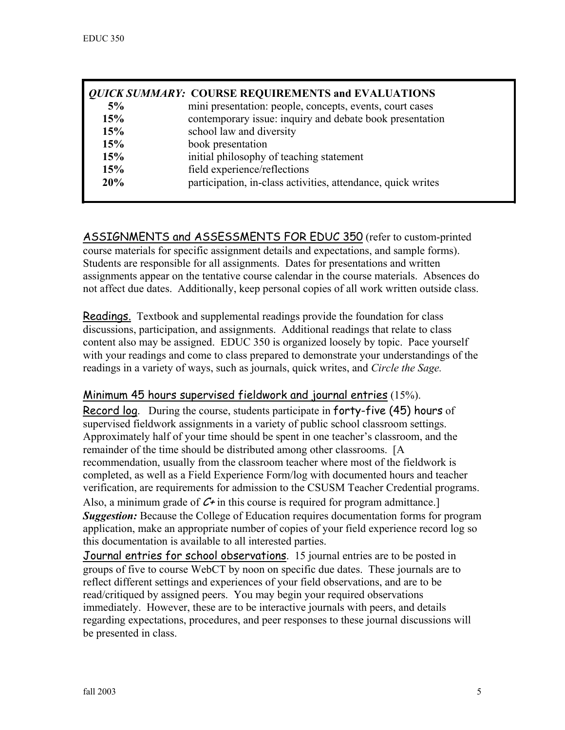|     | <b>QUICK SUMMARY: COURSE REQUIREMENTS and EVALUATIONS</b>    |
|-----|--------------------------------------------------------------|
| 5%  | mini presentation: people, concepts, events, court cases     |
| 15% | contemporary issue: inquiry and debate book presentation     |
| 15% | school law and diversity                                     |
| 15% | book presentation                                            |
| 15% | initial philosophy of teaching statement                     |
| 15% | field experience/reflections                                 |
| 20% | participation, in-class activities, attendance, quick writes |

ASSIGNMENTS and ASSESSMENTS FOR EDUC 350 (refer to custom-printed course materials for specific assignment details and expectations, and sample forms). Students are responsible for all assignments. Dates for presentations and written assignments appear on the tentative course calendar in the course materials. Absences do not affect due dates. Additionally, keep personal copies of all work written outside class.

Readings.Textbook and supplemental readings provide the foundation for class discussions, participation, and assignments. Additional readings that relate to class content also may be assigned. EDUC 350 is organized loosely by topic. Pace yourself with your readings and come to class prepared to demonstrate your understandings of the readings in a variety of ways, such as journals, quick writes, and *Circle the Sage.*

## Minimum 45 hours supervised fieldwork and journal entries (15%).

Record log. During the course, students participate in forty-five (45) hours of supervised fieldwork assignments in a variety of public school classroom settings. Approximately half of your time should be spent in one teacher's classroom, and the remainder of the time should be distributed among other classrooms. [A recommendation, usually from the classroom teacher where most of the fieldwork is completed, as well as a Field Experience Form/log with documented hours and teacher verification, are requirements for admission to the CSUSM Teacher Credential programs. Also, a minimum grade of  $C<sup>+</sup>$  in this course is required for program admittance. *Suggestion:* Because the College of Education requires documentation forms for program application, make an appropriate number of copies of your field experience record log so this documentation is available to all interested parties.

Journal entries for school observations. 15 journal entries are to be posted in groups of five to course WebCT by noon on specific due dates. These journals are to reflect different settings and experiences of your field observations, and are to be read/critiqued by assigned peers. You may begin your required observations immediately. However, these are to be interactive journals with peers, and details regarding expectations, procedures, and peer responses to these journal discussions will be presented in class.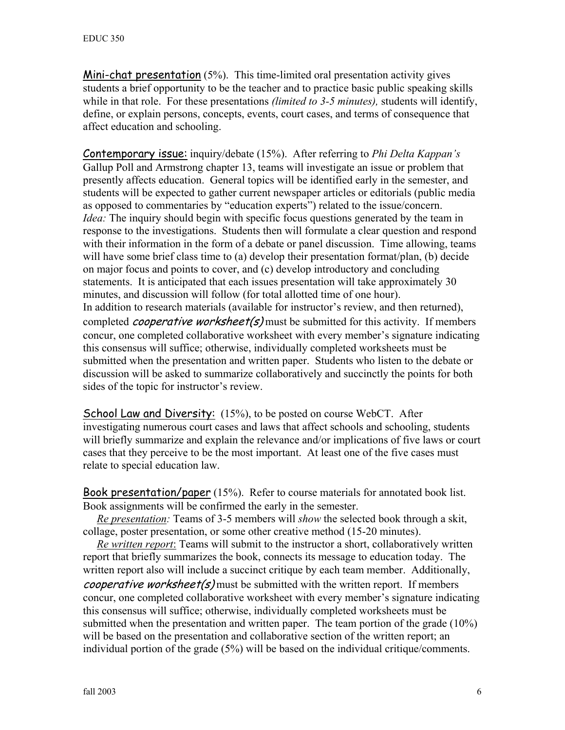Mini-chat presentation (5%). This time-limited oral presentation activity gives students a brief opportunity to be the teacher and to practice basic public speaking skills while in that role. For these presentations *(limited to 3-5 minutes),* students will identify, define, or explain persons, concepts, events, court cases, and terms of consequence that affect education and schooling.

Contemporary issue: inquiry/debate (15%). After referring to *Phi Delta Kappan's* Gallup Poll and Armstrong chapter 13, teams will investigate an issue or problem that presently affects education. General topics will be identified early in the semester, and students will be expected to gather current newspaper articles or editorials (public media as opposed to commentaries by "education experts") related to the issue/concern. *Idea*: The inquiry should begin with specific focus questions generated by the team in response to the investigations. Students then will formulate a clear question and respond with their information in the form of a debate or panel discussion. Time allowing, teams will have some brief class time to (a) develop their presentation format/plan, (b) decide on major focus and points to cover, and (c) develop introductory and concluding statements. It is anticipated that each issues presentation will take approximately 30 minutes, and discussion will follow (for total allotted time of one hour). In addition to research materials (available for instructor's review, and then returned), completed *cooperative worksheet(s)* must be submitted for this activity. If members concur, one completed collaborative worksheet with every member's signature indicating this consensus will suffice; otherwise, individually completed worksheets must be submitted when the presentation and written paper. Students who listen to the debate or discussion will be asked to summarize collaboratively and succinctly the points for both sides of the topic for instructor's review.

School Law and Diversity: (15%), to be posted on course WebCT. After investigating numerous court cases and laws that affect schools and schooling, students will briefly summarize and explain the relevance and/or implications of five laws or court cases that they perceive to be the most important. At least one of the five cases must relate to special education law.

Book presentation/paper (15%). Refer to course materials for annotated book list. Book assignments will be confirmed the early in the semester.

 *Re presentation:* Teams of 3-5 members will *show* the selected book through a skit, collage, poster presentation, or some other creative method (15-20 minutes).

 *Re written report*: Teams will submit to the instructor a short, collaboratively written report that briefly summarizes the book, connects its message to education today. The written report also will include a succinct critique by each team member. Additionally, *cooperative worksheet(s)* must be submitted with the written report. If members concur, one completed collaborative worksheet with every member's signature indicating this consensus will suffice; otherwise, individually completed worksheets must be submitted when the presentation and written paper. The team portion of the grade (10%) will be based on the presentation and collaborative section of the written report; an individual portion of the grade (5%) will be based on the individual critique/comments.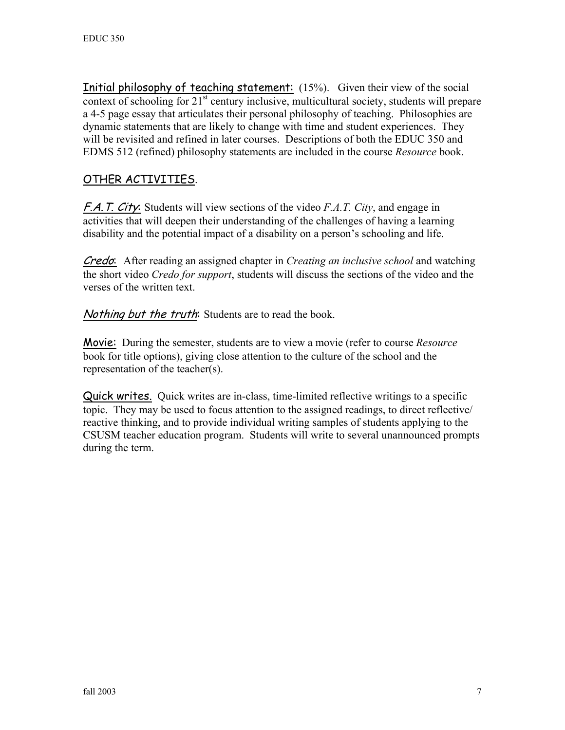Initial philosophy of teaching statement: (15%). Given their view of the social context of schooling for  $21<sup>st</sup>$  century inclusive, multicultural society, students will prepare a 4-5 page essay that articulates their personal philosophy of teaching. Philosophies are dynamic statements that are likely to change with time and student experiences. They will be revisited and refined in later courses. Descriptions of both the EDUC 350 and EDMS 512 (refined) philosophy statements are included in the course *Resource* book.

## OTHER ACTIVITIES.

F.A.T. City: Students will view sections of the video *F.A.T. City*, and engage in activities that will deepen their understanding of the challenges of having a learning disability and the potential impact of a disability on a person's schooling and life.

Credo: After reading an assigned chapter in *Creating an inclusive school* and watching the short video *Credo for support*, students will discuss the sections of the video and the verses of the written text.

Nothing but the truth: Students are to read the book.

Movie: During the semester, students are to view a movie (refer to course *Resource* book for title options), giving close attention to the culture of the school and the representation of the teacher(s).

Quick writes. Quick writes are in-class, time-limited reflective writings to a specific topic. They may be used to focus attention to the assigned readings, to direct reflective/ reactive thinking, and to provide individual writing samples of students applying to the CSUSM teacher education program. Students will write to several unannounced prompts during the term.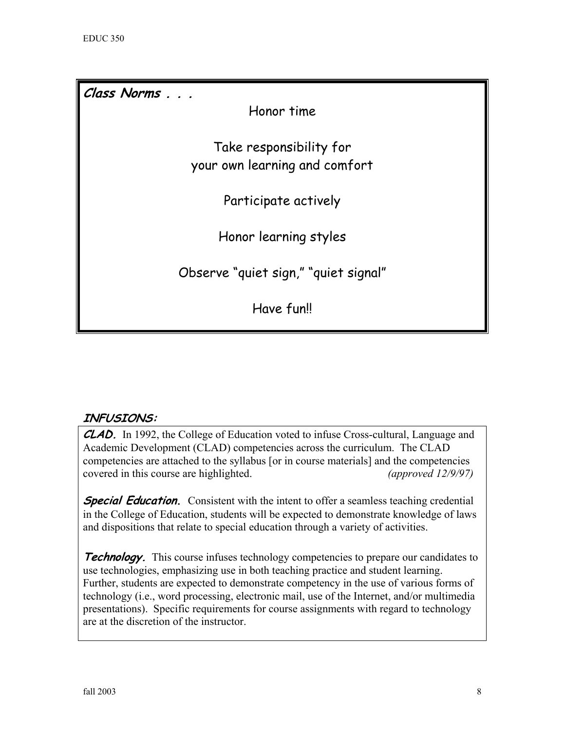**Class Norms . . .**  Honor time Take responsibility for your own learning and comfort Participate actively Honor learning styles Observe "quiet sign," "quiet signal" Have fun!!

## **INFUSIONS:**

**CLAD.** In 1992, the College of Education voted to infuse Cross-cultural, Language and Academic Development (CLAD) competencies across the curriculum. The CLAD competencies are attached to the syllabus [or in course materials] and the competencies covered in this course are highlighted. *(approved 12/9/97)* 

**Special Education.** Consistent with the intent to offer a seamless teaching credential in the College of Education, students will be expected to demonstrate knowledge of laws and dispositions that relate to special education through a variety of activities.

**Technology.** This course infuses technology competencies to prepare our candidates to use technologies, emphasizing use in both teaching practice and student learning. Further, students are expected to demonstrate competency in the use of various forms of technology (i.e., word processing, electronic mail, use of the Internet, and/or multimedia presentations). Specific requirements for course assignments with regard to technology are at the discretion of the instructor.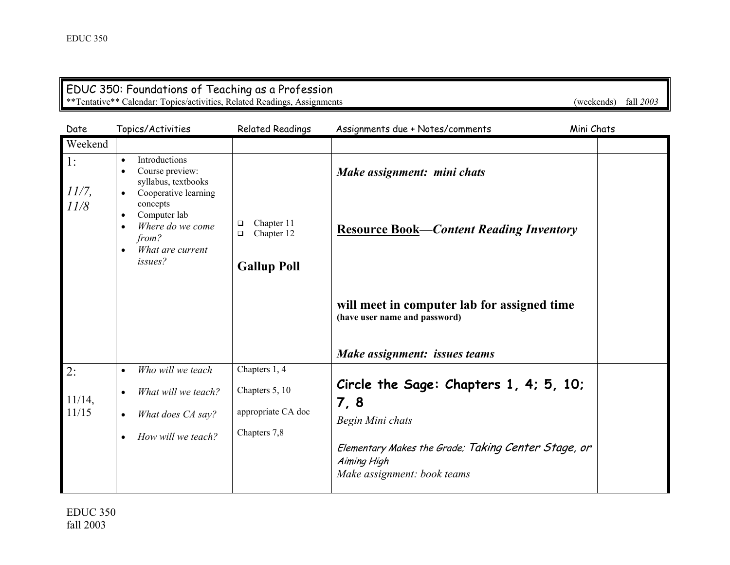#### EDUC 350: Foundations of Teaching as a Profession \*\*Tentative\*\* Calendar: Topics/activities, Related Readings, Assignments (weekends) fall *2003*

| Date               | Topics/Activities                                                                                                      | <b>Related Readings</b>                 | Assignments due + Notes/comments                                                                  | Mini Chats |
|--------------------|------------------------------------------------------------------------------------------------------------------------|-----------------------------------------|---------------------------------------------------------------------------------------------------|------------|
| Weekend            |                                                                                                                        |                                         |                                                                                                   |            |
| 1:<br>11/7,        | Introductions<br>$\bullet$<br>Course preview:<br>$\bullet$<br>syllabus, textbooks<br>Cooperative learning<br>$\bullet$ |                                         | Make assignment: mini chats                                                                       |            |
| 11/8               | concepts<br>Computer lab<br>$\bullet$<br>Where do we come<br>from?<br>What are current<br>$\bullet$                    | Chapter 11<br>❏<br>Chapter 12<br>$\Box$ | <b>Resource Book-Content Reading Inventory</b>                                                    |            |
|                    | issues?                                                                                                                | <b>Gallup Poll</b>                      |                                                                                                   |            |
|                    |                                                                                                                        |                                         |                                                                                                   |            |
|                    |                                                                                                                        |                                         | will meet in computer lab for assigned time<br>(have user name and password)                      |            |
|                    |                                                                                                                        |                                         | Make assignment: issues teams                                                                     |            |
| 2:                 | Who will we teach<br>$\bullet$                                                                                         | Chapters 1, 4                           |                                                                                                   |            |
|                    | What will we teach?<br>$\bullet$                                                                                       | Chapters 5, 10                          | Circle the Sage: Chapters 1, 4; 5, 10;                                                            |            |
| $11/14$ ,<br>11/15 | What does CA say?<br>$\bullet$                                                                                         | appropriate CA doc                      | 7, 8                                                                                              |            |
|                    |                                                                                                                        | Chapters 7,8                            | Begin Mini chats                                                                                  |            |
|                    | How will we teach?<br>$\bullet$                                                                                        |                                         | Elementary Makes the Grade; Taking Center Stage, or<br>Aiming High<br>Make assignment: book teams |            |
|                    |                                                                                                                        |                                         |                                                                                                   |            |